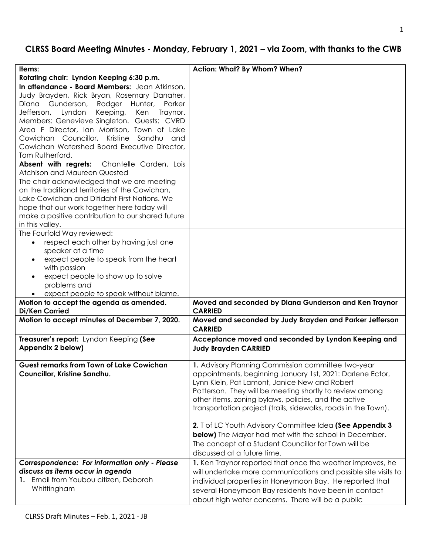# **CLRSS Board Meeting Minutes - Monday, February 1, 2021 – via Zoom, with thanks to the CWB**

| Items:                                              | Action: What? By Whom? When?                                                                               |
|-----------------------------------------------------|------------------------------------------------------------------------------------------------------------|
| Rotating chair: Lyndon Keeping 6:30 p.m.            |                                                                                                            |
| In attendance - Board Members: Jean Atkinson,       |                                                                                                            |
| Judy Brayden, Rick Bryan, Rosemary Danaher,         |                                                                                                            |
| Diana Gunderson, Rodger Hunter,<br>Parker           |                                                                                                            |
| Keeping,<br>Lyndon<br>Ken<br>Jefferson,<br>Traynor. |                                                                                                            |
| Members: Genevieve Singleton. Guests: CVRD          |                                                                                                            |
| Area F Director, Ian Morrison, Town of Lake         |                                                                                                            |
| Cowichan Councillor, Kristine Sandhu<br>- and       |                                                                                                            |
| Cowichan Watershed Board Executive Director,        |                                                                                                            |
| Tom Rutherford.                                     |                                                                                                            |
| Absent with regrets: Chantelle Carden, Lois         |                                                                                                            |
| Atchison and Maureen Quested                        |                                                                                                            |
| The chair acknowledged that we are meeting          |                                                                                                            |
| on the traditional territories of the Cowichan,     |                                                                                                            |
| Lake Cowichan and Ditidaht First Nations. We        |                                                                                                            |
| hope that our work together here today will         |                                                                                                            |
| make a positive contribution to our shared future   |                                                                                                            |
| in this valley.                                     |                                                                                                            |
| The Fourfold Way reviewed:                          |                                                                                                            |
| respect each other by having just one<br>$\bullet$  |                                                                                                            |
| speaker at a time                                   |                                                                                                            |
| expect people to speak from the heart<br>$\bullet$  |                                                                                                            |
| with passion                                        |                                                                                                            |
| expect people to show up to solve<br>$\bullet$      |                                                                                                            |
| problems and                                        |                                                                                                            |
| expect people to speak without blame.               |                                                                                                            |
| Motion to accept the agenda as amended.             | Moved and seconded by Diana Gunderson and Ken Traynor                                                      |
| <b>Di/Ken Carried</b>                               | <b>CARRIED</b>                                                                                             |
| Motion to accept minutes of December 7, 2020.       | Moved and seconded by Judy Brayden and Parker Jefferson<br><b>CARRIED</b>                                  |
|                                                     |                                                                                                            |
| Treasurer's report: Lyndon Keeping (See             | Acceptance moved and seconded by Lyndon Keeping and                                                        |
| Appendix 2 below)                                   | <b>Judy Brayden CARRIED</b>                                                                                |
| <b>Guest remarks from Town of Lake Cowichan</b>     | 1. Advisory Planning Commission committee two-year                                                         |
|                                                     |                                                                                                            |
| Councillor, Kristine Sandhu.                        | appointments, beginning January 1st, 2021: Darlene Ector,<br>Lynn Klein, Pat Lamont, Janice New and Robert |
|                                                     |                                                                                                            |
|                                                     | Patterson. They will be meeting shortly to review among                                                    |
|                                                     | other items, zoning bylaws, policies, and the active                                                       |
|                                                     | transportation project (trails, sidewalks, roads in the Town).                                             |
|                                                     |                                                                                                            |
|                                                     | 2. T of LC Youth Advisory Committee Idea (See Appendix 3                                                   |
|                                                     | <b>below)</b> The Mayor had met with the school in December.                                               |
|                                                     | The concept of a Student Councillor for Town will be                                                       |
|                                                     | discussed at a future time.                                                                                |
| Correspondence: For information only - Please       | 1. Ken Traynor reported that once the weather improves, he                                                 |
| discuss as items occur in agenda                    | will undertake more communications and possible site visits to                                             |
| 1. Email from Youbou citizen, Deborah               | individual properties in Honeymoon Bay. He reported that                                                   |
| Whittingham                                         | several Honeymoon Bay residents have been in contact                                                       |
|                                                     | about high water concerns. There will be a public                                                          |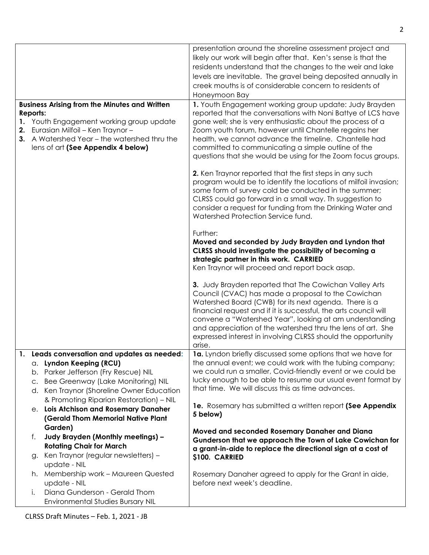|     |                                                                                                                                                                                                                                           | presentation around the shoreline assessment project and<br>likely our work will begin after that. Ken's sense is that the<br>residents understand that the changes to the weir and lake<br>levels are inevitable. The gravel being deposited annually in<br>creek mouths is of considerable concern to residents of<br>Honeymoon Bay                                                                                                                                                                                                                                                                                                                                                                                                                                              |
|-----|-------------------------------------------------------------------------------------------------------------------------------------------------------------------------------------------------------------------------------------------|------------------------------------------------------------------------------------------------------------------------------------------------------------------------------------------------------------------------------------------------------------------------------------------------------------------------------------------------------------------------------------------------------------------------------------------------------------------------------------------------------------------------------------------------------------------------------------------------------------------------------------------------------------------------------------------------------------------------------------------------------------------------------------|
|     | <b>Business Arising from the Minutes and Written</b><br>Reports:<br>1. Youth Engagement working group update<br>2. Eurasian Milfoil - Ken Traynor -<br>3. A Watershed Year - the watershed thru the<br>lens of art (See Appendix 4 below) | 1. Youth Engagement working group update: Judy Brayden<br>reported that the conversations with Noni Battye of LCS have<br>gone well; she is very enthusiastic about the process of a<br>Zoom youth forum, however until Chantelle regains her<br>health, we cannot advance the timeline. Chantelle had<br>committed to communicating a simple outline of the<br>questions that she would be using for the Zoom focus groups.<br>2. Ken Traynor reported that the first steps in any such<br>program would be to identify the locations of milfoil invasion;<br>some form of survey cold be conducted in the summer;<br>CLRSS could go forward in a small way. Th suggestion to<br>consider a request for funding from the Drinking Water and<br>Watershed Protection Service fund. |
|     |                                                                                                                                                                                                                                           | Further:<br>Moved and seconded by Judy Brayden and Lyndon that<br>CLRSS should investigate the possibility of becoming a<br>strategic partner in this work. CARRIED<br>Ken Traynor will proceed and report back asap.<br>3. Judy Brayden reported that The Cowichan Valley Arts<br>Council (CVAC) has made a proposal to the Cowichan<br>Watershed Board (CWB) for its next agenda. There is a                                                                                                                                                                                                                                                                                                                                                                                     |
|     |                                                                                                                                                                                                                                           | financial request and if it is successful, the arts council will<br>convene a "Watershed Year", looking at am understanding<br>and appreciation of the watershed thru the lens of art. She<br>expressed interest in involving CLRSS should the opportunity<br>arise.                                                                                                                                                                                                                                                                                                                                                                                                                                                                                                               |
| -1. |                                                                                                                                                                                                                                           |                                                                                                                                                                                                                                                                                                                                                                                                                                                                                                                                                                                                                                                                                                                                                                                    |
|     | Leads conversation and updates as needed:<br>a. Lyndon Keeping (RCU)<br>b. Parker Jefferson (Fry Rescue) NIL<br>c. Bee Greenway (Lake Monitoring) NIL<br>d. Ken Traynor (Shoreline Owner Education                                        | 1a. Lyndon briefly discussed some options that we have for<br>the annual event; we could work with the tubing company;<br>we could run a smaller, Covid-friendly event or we could be<br>lucky enough to be able to resume our usual event format by<br>that time. We will discuss this as time advances.                                                                                                                                                                                                                                                                                                                                                                                                                                                                          |
|     | & Promoting Riparian Restoration) - NIL<br>e. Lois Atchison and Rosemary Danaher<br>(Gerald Thom Memorial Native Plant                                                                                                                    | 1e. Rosemary has submitted a written report (See Appendix<br>5 below)                                                                                                                                                                                                                                                                                                                                                                                                                                                                                                                                                                                                                                                                                                              |
|     | Garden)                                                                                                                                                                                                                                   |                                                                                                                                                                                                                                                                                                                                                                                                                                                                                                                                                                                                                                                                                                                                                                                    |
|     | Judy Brayden (Monthly meetings) -<br>f.<br><b>Rotating Chair for March</b><br>g. Ken Traynor (regular newsletters) -                                                                                                                      | Moved and seconded Rosemary Danaher and Diana<br>Gunderson that we approach the Town of Lake Cowichan for<br>a grant-in-aide to replace the directional sign at a cost of                                                                                                                                                                                                                                                                                                                                                                                                                                                                                                                                                                                                          |
|     |                                                                                                                                                                                                                                           | \$100. CARRIED                                                                                                                                                                                                                                                                                                                                                                                                                                                                                                                                                                                                                                                                                                                                                                     |
|     | update - NIL<br>h. Membership work - Maureen Quested<br>update - NIL                                                                                                                                                                      | Rosemary Danaher agreed to apply for the Grant in aide,<br>before next week's deadline.                                                                                                                                                                                                                                                                                                                                                                                                                                                                                                                                                                                                                                                                                            |
|     | Diana Gunderson - Gerald Thom<br>İ.<br><b>Environmental Studies Bursary NIL</b>                                                                                                                                                           |                                                                                                                                                                                                                                                                                                                                                                                                                                                                                                                                                                                                                                                                                                                                                                                    |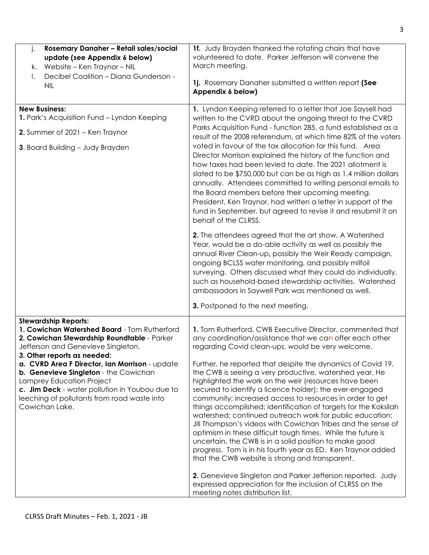| Rosemary Danaher - Retail sales/social<br>j.<br>update (see Appendix 6 below)                                                                                                                                                                                                                                                                                                                                                              | 1f. Judy Brayden thanked the rotating chairs that have<br>volunteered to date. Parker Jefferson will convene the                                                                                                                                                                                                                                                                                                                                                                                                                                                                                                                                                                                                                                                                                              |
|--------------------------------------------------------------------------------------------------------------------------------------------------------------------------------------------------------------------------------------------------------------------------------------------------------------------------------------------------------------------------------------------------------------------------------------------|---------------------------------------------------------------------------------------------------------------------------------------------------------------------------------------------------------------------------------------------------------------------------------------------------------------------------------------------------------------------------------------------------------------------------------------------------------------------------------------------------------------------------------------------------------------------------------------------------------------------------------------------------------------------------------------------------------------------------------------------------------------------------------------------------------------|
| Website - Ken Traynor - NIL<br>k.                                                                                                                                                                                                                                                                                                                                                                                                          | March meeting.                                                                                                                                                                                                                                                                                                                                                                                                                                                                                                                                                                                                                                                                                                                                                                                                |
| Decibel Coalition - Diana Gunderson -<br>I.<br><b>NIL</b>                                                                                                                                                                                                                                                                                                                                                                                  | 1j. Rosemary Danaher submitted a written report (See<br>Appendix 6 below)                                                                                                                                                                                                                                                                                                                                                                                                                                                                                                                                                                                                                                                                                                                                     |
| <b>New Business:</b><br>1. Park's Acquisition Fund - Lyndon Keeping<br>2. Summer of 2021 – Ken Traynor<br>3. Board Building - Judy Brayden                                                                                                                                                                                                                                                                                                 | 1. Lyndon Keeping referred to a letter that Joe Saysell had<br>written to the CVRD about the ongoing threat to the CVRD<br>Parks Acquisition Fund - function 285, a fund established as a<br>result of the 2008 referendum, at which time 82% of the voters<br>voted in favour of the tax allocation for this fund. Area<br>Director Morrison explained the history of the function and<br>how taxes had been levied to date. The 2021 allotment is<br>slated to be \$750,000 but can be as high as 1.4 million dollars<br>annually. Attendees committed to writing personal emails to<br>the Board members before their upcoming meeting.<br>President, Ken Traynor, had written a letter in support of the<br>fund in September, but agreed to revise it and resubmit it on<br>behalf of the CLRSS.         |
|                                                                                                                                                                                                                                                                                                                                                                                                                                            | 2. The attendees agreed that the art show, A Watershed<br>Year, would be a do-able activity as well as possibly the<br>annual River Clean-up, possibly the Weir Ready campaign,<br>ongoing BCLSS water monitoring, and possibly milfoil<br>surveying. Others discussed what they could do individually,<br>such as household-based stewardship activities. Watershed<br>ambassadors in Saywell Park was mentioned as well.                                                                                                                                                                                                                                                                                                                                                                                    |
|                                                                                                                                                                                                                                                                                                                                                                                                                                            | 3. Postponed to the next meeting.                                                                                                                                                                                                                                                                                                                                                                                                                                                                                                                                                                                                                                                                                                                                                                             |
| <b>Stewardship Reports:</b><br>1. Cowichan Watershed Board - Tom Rutherford<br>2. Cowichan Stewardship Roundtable - Parker<br>Jefferson and Genevieve Singleton.<br>3. Other reports as needed:<br>a. CVRD Area F Director, Ian Morrison - update<br>b. Genevieve Singleton - the Cowichan<br>Lamprey Education Project<br>c. Jim Deck - water pollution in Youbou due to<br>leeching of pollutants from road waste into<br>Cowichan Lake. | 1. Tom Rutherford, CWB Executive Director, commented that<br>any coordination/assistance that we can offer each other<br>regarding Covid clean-ups, would be very welcome.<br>Further, he reported that despite the dynamics of Covid 19,<br>the CWB is seeing a very productive, watershed year. He<br>highlighted the work on the weir (resources have been<br>secured to identify a licence holder); the ever-engaged<br>community; increased access to resources in order to get<br>things accomplished; identification of targets for the Koksilah<br>watershed; continued outreach work for public education;<br>Jill Thompson's videos with Cowichan Tribes and the sense of<br>optimism in these difficult tough times. While the future is<br>uncertain, the CWB is in a solid position to make good |
|                                                                                                                                                                                                                                                                                                                                                                                                                                            | progress. Tom is in his fourth year as ED. Ken Traynor added<br>that the CWB website is strong and transparent.<br>2. Genevieve Singleton and Parker Jefferson reported. Judy<br>expressed appreciation for the inclusion of CLRSS on the<br>meeting notes distribution list.                                                                                                                                                                                                                                                                                                                                                                                                                                                                                                                                 |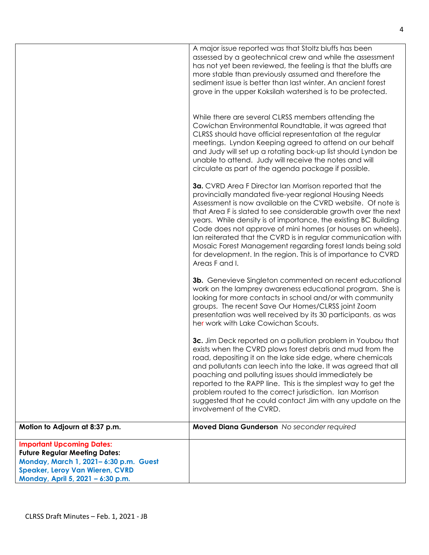|                                                                                                                                                             | A major issue reported was that Stoltz bluffs has been<br>assessed by a geotechnical crew and while the assessment<br>has not yet been reviewed, the feeling is that the bluffs are<br>more stable than previously assumed and therefore the<br>sediment issue is better than last winter. An ancient forest<br>grove in the upper Koksilah watershed is to be protected.                                                                                                                                                                                                                             |
|-------------------------------------------------------------------------------------------------------------------------------------------------------------|-------------------------------------------------------------------------------------------------------------------------------------------------------------------------------------------------------------------------------------------------------------------------------------------------------------------------------------------------------------------------------------------------------------------------------------------------------------------------------------------------------------------------------------------------------------------------------------------------------|
|                                                                                                                                                             | While there are several CLRSS members attending the<br>Cowichan Environmental Roundtable, it was agreed that<br>CLRSS should have official representation at the regular<br>meetings. Lyndon Keeping agreed to attend on our behalf<br>and Judy will set up a rotating back-up list should Lyndon be<br>unable to attend. Judy will receive the notes and will<br>circulate as part of the agenda package if possible.                                                                                                                                                                                |
|                                                                                                                                                             | 3a. CVRD Area F Director Ian Morrison reported that the<br>provincially mandated five-year regional Housing Needs<br>Assessment is now available on the CVRD website. Of note is<br>that Area F is slated to see considerable growth over the next<br>years. While density is of importance, the existing BC Building<br>Code does not approve of mini homes (or houses on wheels).<br>Ian reiterated that the CVRD is in regular communication with<br>Mosaic Forest Management regarding forest lands being sold<br>for development. In the region. This is of importance to CVRD<br>Areas F and I. |
|                                                                                                                                                             | <b>3b.</b> Genevieve Singleton commented on recent educational<br>work on the lamprey awareness educational program. She is<br>looking for more contacts in school and/or with community<br>groups. The recent Save Our Homes/CLRSS joint Zoom<br>presentation was well received by its 30 participants, as was<br>her work with Lake Cowichan Scouts.                                                                                                                                                                                                                                                |
|                                                                                                                                                             | 3c. Jim Deck reported on a pollution problem in Youbou that<br>exists when the CVRD plows forest debris and mud from the<br>road, depositing it on the lake side edge, where chemicals<br>and pollutants can leech into the lake. It was agreed that all<br>poaching and polluting issues should immediately be<br>reported to the RAPP line. This is the simplest way to get the<br>problem routed to the correct jurisdiction. Ian Morrison<br>suggested that he could contact Jim with any update on the<br>involvement of the CVRD.                                                               |
| Motion to Adjourn at 8:37 p.m.                                                                                                                              | Moved Diana Gunderson No seconder required                                                                                                                                                                                                                                                                                                                                                                                                                                                                                                                                                            |
| <b>Important Upcoming Dates:</b><br><b>Future Regular Meeting Dates:</b><br>Monday, March 1, 2021-6:30 p.m. Guest<br><b>Speaker, Leroy Van Wieren, CVRD</b> |                                                                                                                                                                                                                                                                                                                                                                                                                                                                                                                                                                                                       |
| Monday, April 5, 2021 - 6:30 p.m.                                                                                                                           |                                                                                                                                                                                                                                                                                                                                                                                                                                                                                                                                                                                                       |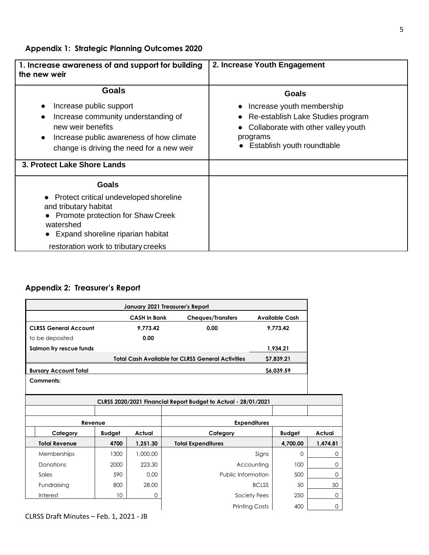**Appendix 1: Strategic Planning Outcomes 2020**

| 1. Increase awareness of and support for building<br>the new weir                                                                                                                                      | 2. Increase Youth Engagement                                                                                                                    |  |  |
|--------------------------------------------------------------------------------------------------------------------------------------------------------------------------------------------------------|-------------------------------------------------------------------------------------------------------------------------------------------------|--|--|
| <b>Goals</b>                                                                                                                                                                                           | <b>Goals</b>                                                                                                                                    |  |  |
| Increase public support<br>Increase community understanding of<br>$\bullet$<br>new weir benefits<br>Increase public awareness of how climate<br>$\bullet$<br>change is driving the need for a new weir | Increase youth membership<br>Re-establish Lake Studies program<br>Collaborate with other valley youth<br>programs<br>Establish youth roundtable |  |  |
| 3. Protect Lake Shore Lands                                                                                                                                                                            |                                                                                                                                                 |  |  |
| Goals                                                                                                                                                                                                  |                                                                                                                                                 |  |  |
| Protect critical undeveloped shoreline<br>and tributary habitat<br>Promote protection for Shaw Creek<br>watershed<br>Expand shoreline riparian habitat                                                 |                                                                                                                                                 |  |  |
| restoration work to tributary creeks                                                                                                                                                                   |                                                                                                                                                 |  |  |

# **Appendix 2: Treasurer's Report**

|                              |               |                     | January 2021 Treasurer's Report                                |            |                       |          |
|------------------------------|---------------|---------------------|----------------------------------------------------------------|------------|-----------------------|----------|
|                              |               | <b>CASH in Bank</b> | <b>Cheques/Transfers</b>                                       |            | <b>Available Cash</b> |          |
| <b>CLRSS General Account</b> |               | 9,773.42            | 0.00                                                           |            | 9,773.42              |          |
| to be deposited              |               | 0.00                |                                                                |            |                       |          |
| Salmon fry rescue funds      |               |                     |                                                                |            | 1,934.21              |          |
|                              |               |                     | <b>Total Cash Available for CLRSS General Activities</b>       |            | \$7,839.21            |          |
| <b>Bursary Account Total</b> |               |                     |                                                                |            | \$6,039.59            |          |
| Comments:                    |               |                     |                                                                |            |                       |          |
|                              |               |                     |                                                                |            |                       |          |
|                              |               |                     | CLRSS 2020/2021 Financial Report Budget to Actual - 28/01/2021 |            |                       |          |
|                              |               |                     |                                                                |            |                       |          |
| Revenue                      |               | <b>Expenditures</b> |                                                                |            |                       |          |
| Category                     | <b>Budget</b> | Actual              | Category                                                       |            | <b>Budget</b>         | Actual   |
| <b>Total Revenue</b>         | 4700          | 1,251.30            | <b>Total Expenditures</b>                                      |            | 4,700.00              | 1,474.81 |
| Memberships                  | 1300          | 1,000.00            |                                                                | Signs      | 0                     | 0        |
| Donations                    | 2000          | 223.30              |                                                                | Accounting | 100                   | 0        |
| Sales                        | 590           | 0.00                | Public Information                                             |            | 500                   | 0        |

Fundraising 800 28.00 28.00 BCLSS 50 50 50 Interest 10 0 Society Fees 250 0

Printing Costs 400 0

CLRSS Draft Minutes – Feb. 1, 2021 - JB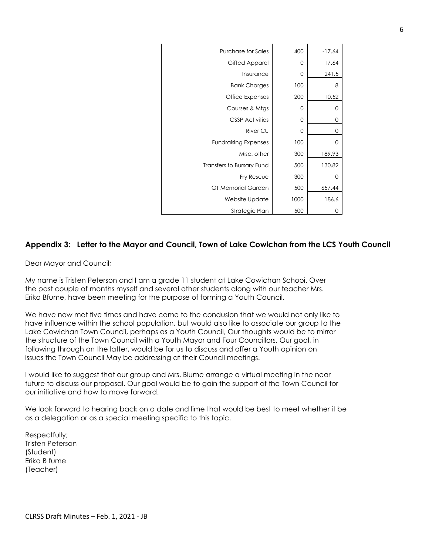| <b>Purchase for Sales</b>   | 400  | $-17.64$ |
|-----------------------------|------|----------|
| Gifted Apparel              | 0    | 17.64    |
| Insurance                   | 0    | 241.5    |
| <b>Bank Charges</b>         | 100  | 8        |
| Office Expenses             | 200  | 10.52    |
| Courses & Mtgs              | 0    | 0        |
| <b>CSSP Activities</b>      | 0    | 0        |
| River CU                    | 0    | 0        |
| <b>Fundraising Expenses</b> | 100  | 0        |
| Misc. other                 | 300  | 189.93   |
| Transfers to Bursary Fund   | 500  | 130.82   |
| Fry Rescue                  | 300  | 0        |
| <b>GT Memorial Garden</b>   | 500  | 657.44   |
| Website Update              | 1000 | 186.6    |
| Strategic Plan              | 500  | 0        |

#### **Appendix 3: Letter to the Mayor and Council, Town of Lake Cowichan from the LCS Youth Council**

Dear Mayor and Council;

My name is Tristen Peterson and I am a grade 11 student at Lake Cowichan Schooi. Over the past couple of months myself and several other students along with our teacher Mrs. Erika Bfume, have been meeting for the purpose of forming a Youth Council.

We have now met five times and have come to the condusion that we would not only like to have influence within the school population, but would also like to associate our group to the Lake Cowichan Town Council, perhaps as a Youth Council, Our thoughts would be to mirror the structure of the Town Council with a Youth Mayor and Four Councillors. Our goal, in following through on the latter, would be for us to discuss and offer a Youth opinion on issues the Town Council May be addressing at their Council meetings.

I would like to suggest that our group and Mrs. Biume arrange a virtual meeting in the near future to discuss our proposal. Our goal would be to gain the support of the Town Council for our initiative and how to move forward.

We look forward to hearing back on a date and lime that would be best to meet whether it be as a delegation or as a special meeting specific to this topic.

Respectfully; Tristen Peterson (Student) Erika B fume (Teacher)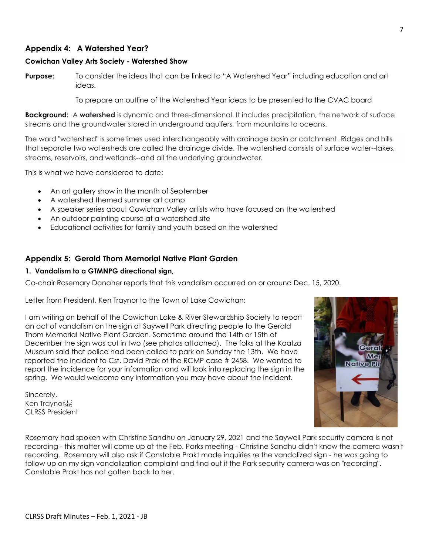## **Appendix 4: A Watershed Year?**

#### **Cowichan Valley Arts Society - Watershed Show**

**Purpose:** To consider the ideas that can be linked to "A Watershed Year" including education and art ideas.

To prepare an outline of the Watershed Year ideas to be presented to the CVAC board

**Background:** A **watershed** is dynamic and three-dimensional. It includes precipitation, the network of surface streams and the groundwater stored in underground aquifers, from mountains to oceans.

The word "watershed" is sometimes used interchangeably with drainage basin or catchment. Ridges and hills that separate two watersheds are called the drainage divide. The watershed consists of surface water--lakes, streams, reservoirs, and wetlands--and all the underlying groundwater.

This is what we have considered to date:

- An art gallery show in the month of September
- A watershed themed summer art camp
- A speaker series about Cowichan Valley artists who have focused on the watershed
- An outdoor painting course at a watershed site
- Educational activities for family and youth based on the watershed

### **Appendix 5: Gerald Thom Memorial Native Plant Garden**

#### **1. Vandalism to a GTMNPG directional sign,**

Co-chair Rosemary Danaher reports that this vandalism occurred on or around Dec. 15, 2020.

Letter from President, Ken Traynor to the Town of Lake Cowichan:

I am writing on behalf of the Cowichan Lake & River Stewardship Society to report an act of vandalism on the sign at Saywell Park directing people to the Gerald Thom Memorial Native Plant Garden. Sometime around the 14th or 15th of December the sign was cut in two (see photos attached). The folks at the Kaatza Museum said that police had been called to park on Sunday the 13th. We have reported the incident to Cst. David Prak of the RCMP case # 2458. We wanted to report the incidence for your information and will look into replacing the sign in the spring. We would welcome any information you may have about the incident.

Sincerely, Ken Travnor<sup>[1</sup>] CLRSS President



Rosemary had spoken with Christine Sandhu on January 29, 2021 and the Saywell Park security camera is not recording - this matter will come up at the Feb. Parks meeting - Christine Sandhu didn't know the camera wasn't recording. Rosemary will also ask if Constable Prakt made inquiries re the vandalized sign - he was going to follow up on my sign vandalization complaint and find out if the Park security camera was on "recording". Constable Prakt has not gotten back to her.